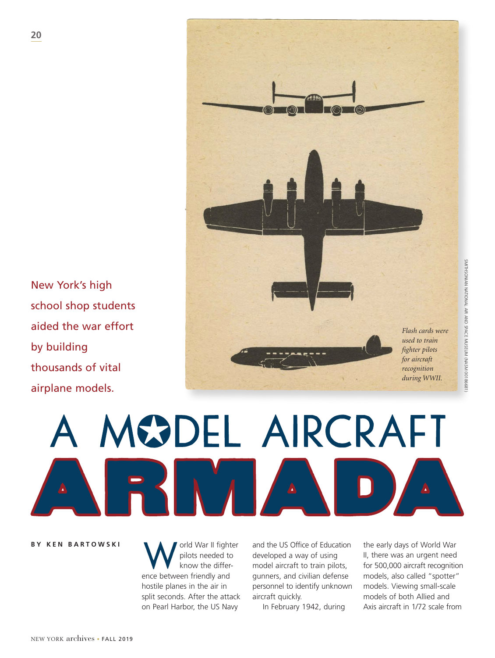

New York's high school shop students aided the war effort by building thousands of vital airplane models.

MODEL AIRCRAFT

**BY KEN BARTOWSKI**

orld War II fighter pilots needed to know the difference between friendly and hostile planes in the air in split seconds. After the attack on Pearl Harbor, the US Navy

and the US Office of Education developed a way of using model aircraft to train pilots, gunners, and civilian defense personnel to identify unknown aircraft quickly.

In February 1942, during

the early days of World War II, there was an urgent need for 500,000 aircraft recognition models, also called "spotter" models. Viewing small-scale models of both Allied and Axis aircraft in 1/72 scale from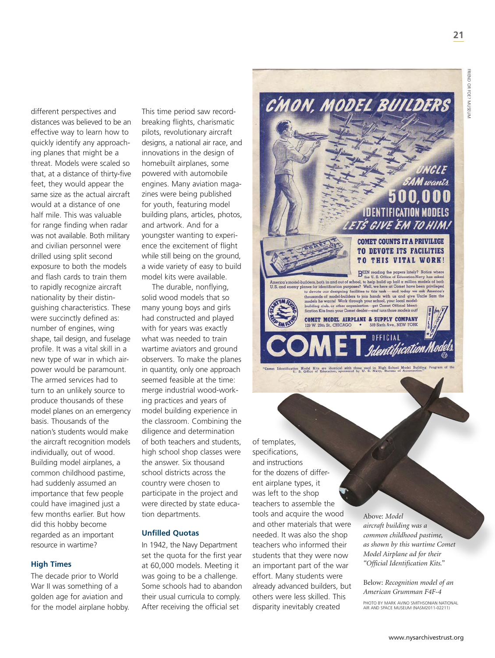FRIEND OR FOE? MUSEUN FRIEND OR FOE? MUSEUM

**21**

different perspectives and distances was believed to be an effective way to learn how to quickly identify any approaching planes that might be a threat. Models were scaled so that, at a distance of thirty-five feet, they would appear the same size as the actual aircraft would at a distance of one half mile. This was valuable for range finding when radar was not available. Both military and civilian personnel were drilled using split second exposure to both the models and flash cards to train them to rapidly recognize aircraft nationality by their distinguishing characteristics. These were succinctly defined as: number of engines, wing shape, tail design, and fuselage profile. It was a vital skill in a new type of war in which airpower would be paramount. The armed services had to turn to an unlikely source to produce thousands of these model planes on an emergency basis. Thousands of the nation's students would make the aircraft recognition models individually, out of wood. Building model airplanes, a common childhood pastime, had suddenly assumed an importance that few people could have imagined just a few months earlier. But how did this hobby become regarded as an important resource in wartime?

# **High Times**

The decade prior to World War II was something of a golden age for aviation and for the model airplane hobby. This time period saw recordbreaking flights, charismatic pilots, revolutionary aircraft designs, a national air race, and innovations in the design of homebuilt airplanes, some powered with automobile engines. Many aviation magazines were being published for youth, featuring model building plans, articles, photos, and artwork. And for a youngster wanting to experience the excitement of flight while still being on the ground, a wide variety of easy to build model kits were available.

The durable, nonflying, solid wood models that so many young boys and girls had constructed and played with for years was exactly what was needed to train wartime aviators and ground observers. To make the planes in quantity, only one approach seemed feasible at the time: merge industrial wood-working practices and years of model building experience in the classroom. Combining the diligence and determination of both teachers and students, high school shop classes were the answer. Six thousand school districts across the country were chosen to participate in the project and were directed by state education departments.

### **Unfilled Quotas**

In 1942, the Navy Department set the quota for the first year at 60,000 models. Meeting it was going to be a challenge. Some schools had to abandon their usual curricula to comply. After receiving the official set



of templates, specifications, and instructions for the dozens of different airplane types, it was left to the shop teachers to assemble the tools and acquire the wood and other materials that were needed. It was also the shop teachers who informed their students that they were now an important part of the war effort. Many students were already advanced builders, but others were less skilled. This disparity inevitably created

Above: *Model aircraft building was a common childhood pastime, as shown by this wartime Comet Model Airplane ad for their "Official Identification Kits."*

Below: *Recognition model of an American Grumman F4F-4*

PHOTO BY MARK AVINO SMITHSONIAN NATIONAL AIR AND SPACE MUSEUM (NASM2011-02211)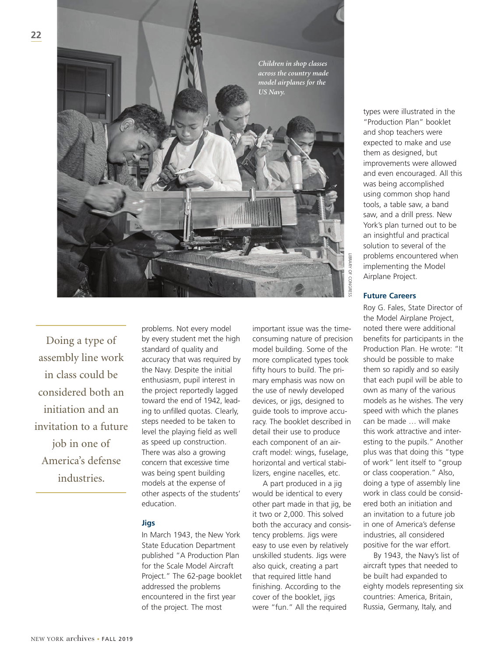

Doing a type of assembly line work in class could be considered both an initiation and an invitation to a future job in one of America's defense industries.

problems. Not every model by every student met the high standard of quality and accuracy that was required by the Navy. Despite the initial enthusiasm, pupil interest in the project reportedly lagged toward the end of 1942, leading to unfilled quotas. Clearly, steps needed to be taken to level the playing field as well as speed up construction. There was also a growing concern that excessive time was being spent building models at the expense of other aspects of the students' education.

## **Jigs**

In March 1943, the New York State Education Department published "A Production Plan for the Scale Model Aircraft Project." The 62-page booklet addressed the problems encountered in the first year of the project. The most

important issue was the timeconsuming nature of precision model building. Some of the more complicated types took fifty hours to build. The primary emphasis was now on the use of newly developed devices, or jigs, designed to guide tools to improve accuracy. The booklet described in detail their use to produce each component of an aircraft model: wings, fuselage, horizontal and vertical stabilizers, engine nacelles, etc.

A part produced in a jig would be identical to every other part made in that jig, be it two or 2,000. This solved both the accuracy and consistency problems. Jigs were easy to use even by relatively unskilled students. Jigs were also quick, creating a part that required little hand finishing. According to the cover of the booklet, jigs were "fun." All the required

types were illustrated in the "Production Plan" booklet and shop teachers were expected to make and use them as designed, but improvements were allowed and even encouraged. All this was being accomplished using common shop hand tools, a table saw, a band saw, and a drill press. New York's plan turned out to be an insightful and practical solution to several of the problems encountered when implementing the Model Airplane Project.

## **Future Careers**

Roy G. Fales, State Director of the Model Airplane Project, noted there were additional benefits for participants in the Production Plan. He wrote: "It should be possible to make them so rapidly and so easily that each pupil will be able to own as many of the various models as he wishes. The very speed with which the planes can be made … will make this work attractive and interesting to the pupils." Another plus was that doing this "type of work" lent itself to "group or class cooperation." Also, doing a type of assembly line work in class could be considered both an initiation and an invitation to a future job in one of America's defense industries, all considered positive for the war effort.

By 1943, the Navy's list of aircraft types that needed to be built had expanded to eighty models representing six countries: America, Britain, Russia, Germany, Italy, and